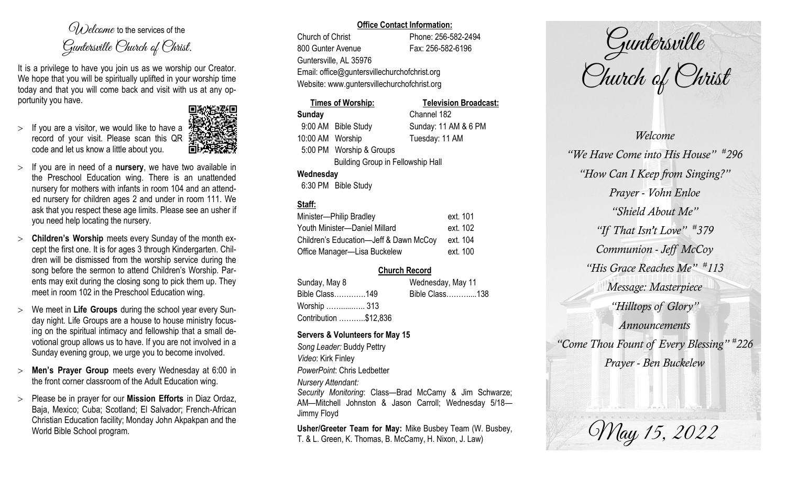$O(\lambda)$  elcame to the services of the Guntersville Church of Christ.

It is a privilege to have you join us as we worship our Creator. We hope that you will be spiritually uplifted in your worship time today and that you will come back and visit with us at any opportunity you have.

 $>$  If you are a visitor, we would like to have a record of your visit. Please scan this QR code and let us know a little about you.



- If you are in need of a **nursery**, we have two available in the Preschool Education wing. There is an unattended nursery for mothers with infants in room 104 and an attended nursery for children ages 2 and under in room 111. We ask that you respect these age limits. Please see an usher if you need help locating the nursery.
- **Children's Worship** meets every Sunday of the month except the first one. It is for ages 3 through Kindergarten. Children will be dismissed from the worship service during the song before the sermon to attend Children's Worship. Parents may exit during the closing song to pick them up. They meet in room 102 in the Preschool Education wing.
- We meet in **Life Groups** during the school year every Sunday night. Life Groups are a house to house ministry focusing on the spiritual intimacy and fellowship that a small devotional group allows us to have. If you are not involved in a Sunday evening group, we urge you to become involved.
- **Men's Prayer Group** meets every Wednesday at 6:00 in the front corner classroom of the Adult Education wing.
- Please be in prayer for our **Mission Efforts** in Diaz Ordaz, Baja, Mexico; Cuba; Scotland; El Salvador; French-African Christian Education facility; Monday John Akpakpan and the World Bible School program.

### **Office Contact Information:**

Church of Christ Phone: 256-582-2494 800 Gunter Avenue Fax: 256-582-6196 Guntersville, AL 35976 Email: office@guntersvillechurchofchrist.org Website: www.guntersvillechurchofchrist.org

### **Times of Worship: Television Broadcast: Sunday** Channel 182 9:00 AM Bible Study Sunday: 11 AM & 6 PM 10:00 AM Worship Tuesday: 11 AM 5:00 PM Worship & Groups Building Group in Fellowship Hall

### **Wednesday**

6:30 PM Bible Study

### **Staff:**

| Minister-Philip Bradley                | ext. 101 |
|----------------------------------------|----------|
| Youth Minister-Daniel Millard          | ext. 102 |
| Children's Education-Jeff & Dawn McCoy | ext. 104 |
| Office Manager-Lisa Buckelew           | ext. 100 |

### **Church Record**

| Sunday, May 8         | Wednesday, May 11 |                |  |
|-----------------------|-------------------|----------------|--|
| Bible Class149        |                   | Bible Class138 |  |
| Worship  313          |                   |                |  |
| Contribution \$12,836 |                   |                |  |

### **Servers & Volunteers for May 15**

*Song Leader:* Buddy Pettry *Video*: Kirk Finley *PowerPoint*: Chris Ledbetter *Nursery Attendant: Security Monitoring*: Class—Brad McCamy & Jim Schwarze; AM—Mitchell Johnston & Jason Carroll; Wednesday 5/18— Jimmy Floyd

**Usher/Greeter Team for May:** Mike Busbey Team (W. Busbey, T. & L. Green, K. Thomas, B. McCamy, H. Nixon, J. Law)

Guntersville Church of Christ

*Welcome "We Have Come into His House" # 296 "How Can I Keep from Singing?" Prayer - Vohn Enloe "Shield About Me" "If That Isn't Love" # 379 Communion - Jeff McCoy "His Grace Reaches Me" # 113 Message: Masterpiece "Hilltops of Glory" Announcements "Come Thou Fount of Every Blessing" # 226 Prayer - Ben Buckelew*

May 15, 2022